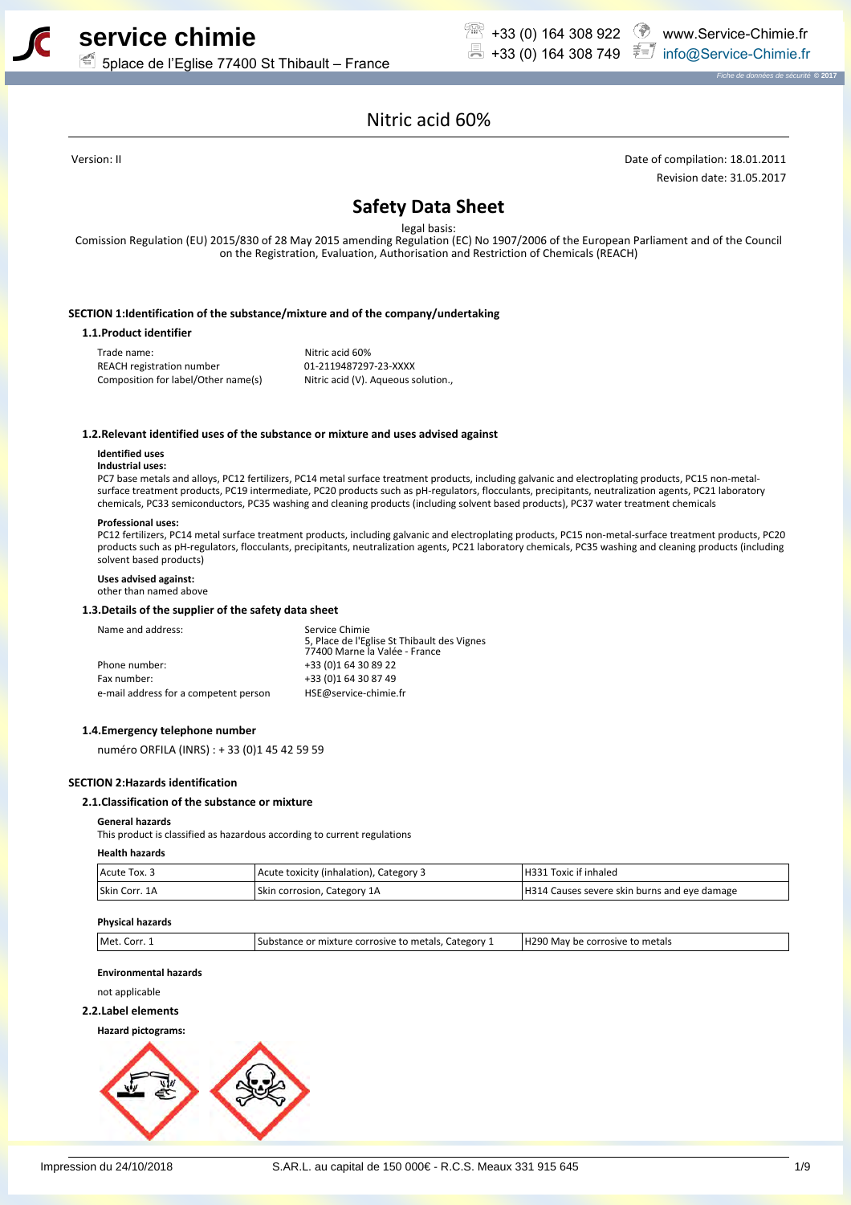

# **service chimie**



*Fiche de données de sécurité* **© 2017**

5place de l'Eglise 77400 St Thibault – France

Nitric acid 60%

Version: II Date of compilation: 18.01.2011 Revision date: 31.05.2017

## **Safety Data Sheet**

legal basis:

Comission Regulation (EU) 2015/830 of 28 May 2015 amending Regulation (EC) No 1907/2006 of the European Parliament and of the Council on the Registration, Evaluation, Authorisation and Restriction of Chemicals (REACH)

## **SECTION 1:Identification of the substance/mixture and of the company/undertaking**

## **1.1.Product identifier**

Trade name: Nitric acid 60% REACH registration number 01-2119487297-23-XXXX Composition for label/Other name(s) Nitric acid (V). Aqueous solution.,

## **1.2.Relevant identified uses of the substance or mixture and uses advised against**

## **Identified uses**

## **Industrial uses:**

PC7 base metals and alloys, PC12 fertilizers, PC14 metal surface treatment products, including galvanic and electroplating products, PC15 non-metalsurface treatment products, PC19 intermediate, PC20 products such as pH-regulators, flocculants, precipitants, neutralization agents, PC21 laboratory chemicals, PC33 semiconductors, PC35 washing and cleaning products (including solvent based products), PC37 water treatment chemicals

## **Professional uses:**

PC12 fertilizers, PC14 metal surface treatment products, including galvanic and electroplating products, PC15 non-metal-surface treatment products, PC20 products such as pH-regulators, flocculants, precipitants, neutralization agents, PC21 laboratory chemicals, PC35 washing and cleaning products (including solvent based products)

## **Uses advised against:**

other than named above

## **1.3.Details of the supplier of the safety data sheet**

Name and address: Service Chimie

|                                       | 5, Place de l'Eglise St Thibault des Vignes<br>77400 Marne la Valée - France |
|---------------------------------------|------------------------------------------------------------------------------|
| Phone number:                         | +33 (0)1 64 30 89 22                                                         |
| Fax number:                           | +33 (0)1 64 30 87 49                                                         |
| e-mail address for a competent person | HSE@service-chimie.fr                                                        |

## **1.4.Emergency telephone number**

numéro ORFILA (INRS) : + 33 (0)1 45 42 59 59

## **SECTION 2:Hazards identification**

## **2.1.Classification of the substance or mixture**

#### **General hazards**

This product is classified as hazardous according to current regulations

## **Health hazards**

| Acute Tox. 3  | Acute toxicity (inhalation), Category 3 | H331 Toxic if inhaled                        |
|---------------|-----------------------------------------|----------------------------------------------|
| Skin Corr. 1A | Skin corrosion, Category 1A             | H314 Causes severe skin burns and eye damage |

#### **Physical hazards**

| Met. Corr. 1 | Substance or mixture corrosive to metals, Category 1 | H290 May be corrosive to metals |
|--------------|------------------------------------------------------|---------------------------------|
|              |                                                      |                                 |

## **Environmental hazards**

not applicable

## **2.2.Label elements**

## **Hazard pictograms:**

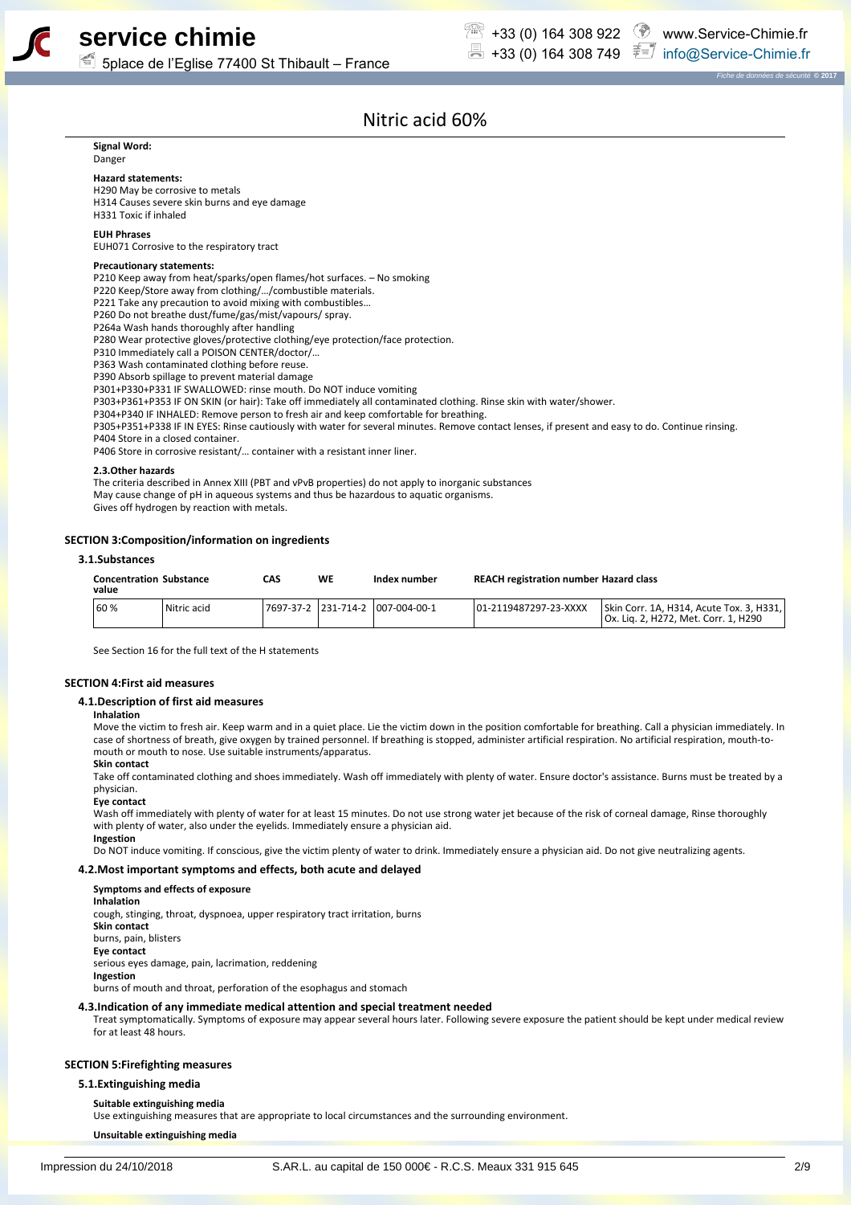

 $\overline{=}$  +33 (0) 164 308 749  $\overline{z}$  $\overline{z}$  info@Service-Chimie.fr

*Fiche de données de sécurité* **© 2017**

Nitric acid 60%

**Signal Word:** Danger

#### **Hazard statements:**

H290 May be corrosive to metals H314 Causes severe skin burns and eye damage H331 Toxic if inhaled

#### **EUH Phrases**

EUH071 Corrosive to the respiratory tract

#### **Precautionary statements:**

P210 Keep away from heat/sparks/open flames/hot surfaces. – No smoking

P220 Keep/Store away from clothing/…/combustible materials.

P221 Take any precaution to avoid mixing with combustibles…

P260 Do not breathe dust/fume/gas/mist/vapours/ spray.

P264a Wash hands thoroughly after handling

P280 Wear protective gloves/protective clothing/eye protection/face protection. P310 Immediately call a POISON CENTER/doctor/…

P363 Wash contaminated clothing before reuse.

P390 Absorb spillage to prevent material damage

P301+P330+P331 IF SWALLOWED: rinse mouth. Do NOT induce vomiting

P303+P361+P353 IF ON SKIN (or hair): Take off immediately all contaminated clothing. Rinse skin with water/shower.

P304+P340 IF INHALED: Remove person to fresh air and keep comfortable for breathing.

P305+P351+P338 IF IN EYES: Rinse cautiously with water for several minutes. Remove contact lenses, if present and easy to do. Continue rinsing. P404 Store in a closed container.

P406 Store in corrosive resistant/… container with a resistant inner liner.

#### **2.3.Other hazards**

The criteria described in Annex XIII (PBT and vPvB properties) do not apply to inorganic substances

May cause change of pH in aqueous systems and thus be hazardous to aquatic organisms.

Gives off hydrogen by reaction with metals.

## **SECTION 3:Composition/information on ingredients**

## **3.1.Substances**

| <b>Concentration Substance</b><br>value |               | CAS | WE | Index number                      | <b>REACH registration number Hazard class</b> |                                                                                  |
|-----------------------------------------|---------------|-----|----|-----------------------------------|-----------------------------------------------|----------------------------------------------------------------------------------|
| 60 %                                    | l Nitric acid |     |    | 17697-37-2 231-714-2 007-004-00-1 | 01-2119487297-23-XXXX                         | Skin Corr. 1A, H314, Acute Tox. 3, H331,<br>Ox. Lig. 2, H272, Met. Corr. 1, H290 |

See Section 16 for the full text of the H statements

## **SECTION 4:First aid measures**

### **4.1.Description of first aid measures**

**Inhalation**

Move the victim to fresh air. Keep warm and in a quiet place. Lie the victim down in the position comfortable for breathing. Call a physician immediately. In case of shortness of breath, give oxygen by trained personnel. If breathing is stopped, administer artificial respiration. No artificial respiration, mouth-tomouth or mouth to nose. Use suitable instruments/apparatus.

**Skin contact**

Take off contaminated clothing and shoes immediately. Wash off immediately with plenty of water. Ensure doctor's assistance. Burns must be treated by a physician.

**Eye contact**

Wash off immediately with plenty of water for at least 15 minutes. Do not use strong water jet because of the risk of corneal damage, Rinse thoroughly with plenty of water, also under the eyelids. Immediately ensure a physician aid. **Ingestion**

Do NOT induce vomiting. If conscious, give the victim plenty of water to drink. Immediately ensure a physician aid. Do not give neutralizing agents.

## **4.2.Most important symptoms and effects, both acute and delayed**

**Symptoms and effects of exposure Inhalation** cough, stinging, throat, dyspnoea, upper respiratory tract irritation, burns **Skin contact** burns, pain, blisters **Eye contact** serious eyes damage, pain, lacrimation, reddening **Ingestion**

burns of mouth and throat, perforation of the esophagus and stomach

#### **4.3.Indication of any immediate medical attention and special treatment needed**

Treat symptomatically. Symptoms of exposure may appear several hours later. Following severe exposure the patient should be kept under medical review for at least 48 hours.

## **SECTION 5:Firefighting measures**

### **5.1.Extinguishing media**

## **Suitable extinguishing media**

Use extinguishing measures that are appropriate to local circumstances and the surrounding environment.

**Unsuitable extinguishing media**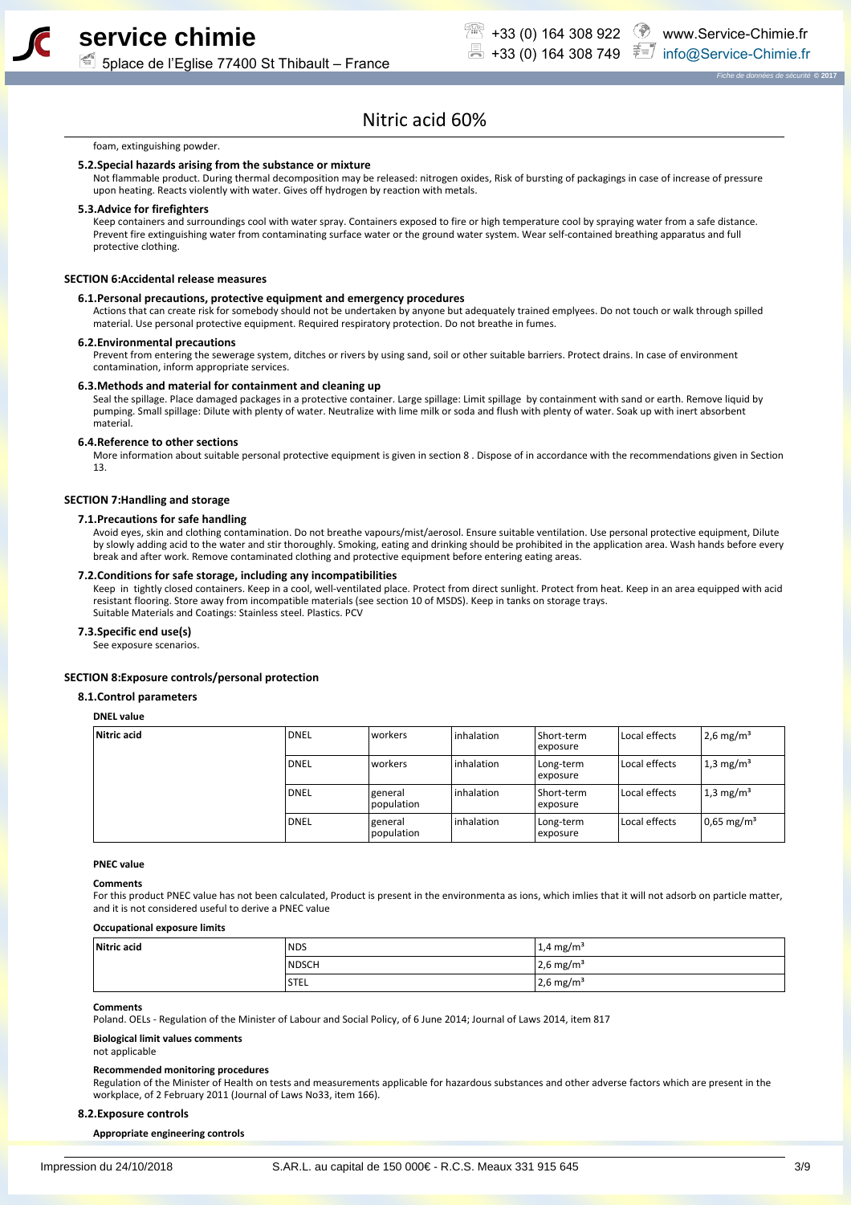

# **service chimie**

5place de l'Eglise 77400 St Thibault – France



*Fiche de données de sécurité* **© 2017**

## Nitric acid 60%

### foam, extinguishing powder.

## **5.2.Special hazards arising from the substance or mixture**

Not flammable product. During thermal decomposition may be released: nitrogen oxides, Risk of bursting of packagings in case of increase of pressure upon heating. Reacts violently with water. Gives off hydrogen by reaction with metals.

#### **5.3.Advice for firefighters**

Keep containers and surroundings cool with water spray. Containers exposed to fire or high temperature cool by spraying water from a safe distance. Prevent fire extinguishing water from contaminating surface water or the ground water system. Wear self-contained breathing apparatus and full protective clothing.

#### **SECTION 6:Accidental release measures**

#### **6.1.Personal precautions, protective equipment and emergency procedures**

Actions that can create risk for somebody should not be undertaken by anyone but adequately trained emplyees. Do not touch or walk through spilled material. Use personal protective equipment. Required respiratory protection. Do not breathe in fumes.

#### **6.2.Environmental precautions**

Prevent from entering the sewerage system, ditches or rivers by using sand, soil or other suitable barriers. Protect drains. In case of environment contamination, inform appropriate services.

#### **6.3.Methods and material for containment and cleaning up**

Seal the spillage. Place damaged packages in a protective container. Large spillage: Limit spillage by containment with sand or earth. Remove liquid by pumping. Small spillage: Dilute with plenty of water. Neutralize with lime milk or soda and flush with plenty of water. Soak up with inert absorbent material.

#### **6.4.Reference to other sections**

More information about suitable personal protective equipment is given in section 8 . Dispose of in accordance with the recommendations given in Section 13.

#### **SECTION 7:Handling and storage**

#### **7.1.Precautions for safe handling**

Avoid eyes, skin and clothing contamination. Do not breathe vapours/mist/aerosol. Ensure suitable ventilation. Use personal protective equipment, Dilute by slowly adding acid to the water and stir thoroughly. Smoking, eating and drinking should be prohibited in the application area. Wash hands before every break and after work. Remove contaminated clothing and protective equipment before entering eating areas.

## **7.2.Conditions for safe storage, including any incompatibilities**

Keep in tightly closed containers. Keep in a cool, well-ventilated place. Protect from direct sunlight. Protect from heat. Keep in an area equipped with acid resistant flooring. Store away from incompatible materials (see section 10 of MSDS). Keep in tanks on storage trays. Suitable Materials and Coatings: Stainless steel. Plastics. PCV

## **7.3.Specific end use(s)**

See exposure scenarios.

#### **SECTION 8:Exposure controls/personal protection**

#### **8.1.Control parameters**

#### **DNEL value**

| Nitric acid | <b>DNEL</b> | workers               | l inhalation | Short-term<br>exposure | Local effects | $2.6 \text{ mg/m}^3$    |
|-------------|-------------|-----------------------|--------------|------------------------|---------------|-------------------------|
|             | <b>DNEL</b> | workers               | l inhalation | Long-term<br>exposure  | Local effects | $1.3 \text{ mg/m}^3$    |
|             | <b>DNEL</b> | general<br>population | linhalation  | Short-term<br>exposure | Local effects | $1,3$ mg/m <sup>3</sup> |
|             | <b>DNEL</b> | general<br>population | l inhalation | Long-term<br>exposure  | Local effects | $0.65 \text{ mg/m}^3$   |

#### **PNEC value**

#### **Comments**

For this product PNEC value has not been calculated, Product is present in the environmenta as ions, which imlies that it will not adsorb on particle matter, and it is not considered useful to derive a PNEC value

#### **Occupational exposure limits**

| Nitric acid | <b>NDS</b>   | $1,4$ mg/m <sup>3</sup> |
|-------------|--------------|-------------------------|
|             | <b>NDSCH</b> | $2,6$ mg/m <sup>3</sup> |
|             | <b>STEL</b>  | $2,6 \text{ mg/m}^3$    |

## **Comments**

Poland. OELs - Regulation of the Minister of Labour and Social Policy, of 6 June 2014; Journal of Laws 2014, item 817

## **Biological limit values comments**

not applicable

## **Recommended monitoring procedures**

Regulation of the Minister of Health on tests and measurements applicable for hazardous substances and other adverse factors which are present in the workplace, of 2 February 2011 (Journal of Laws No33, item 166).

#### **8.2.Exposure controls**

**Appropriate engineering controls**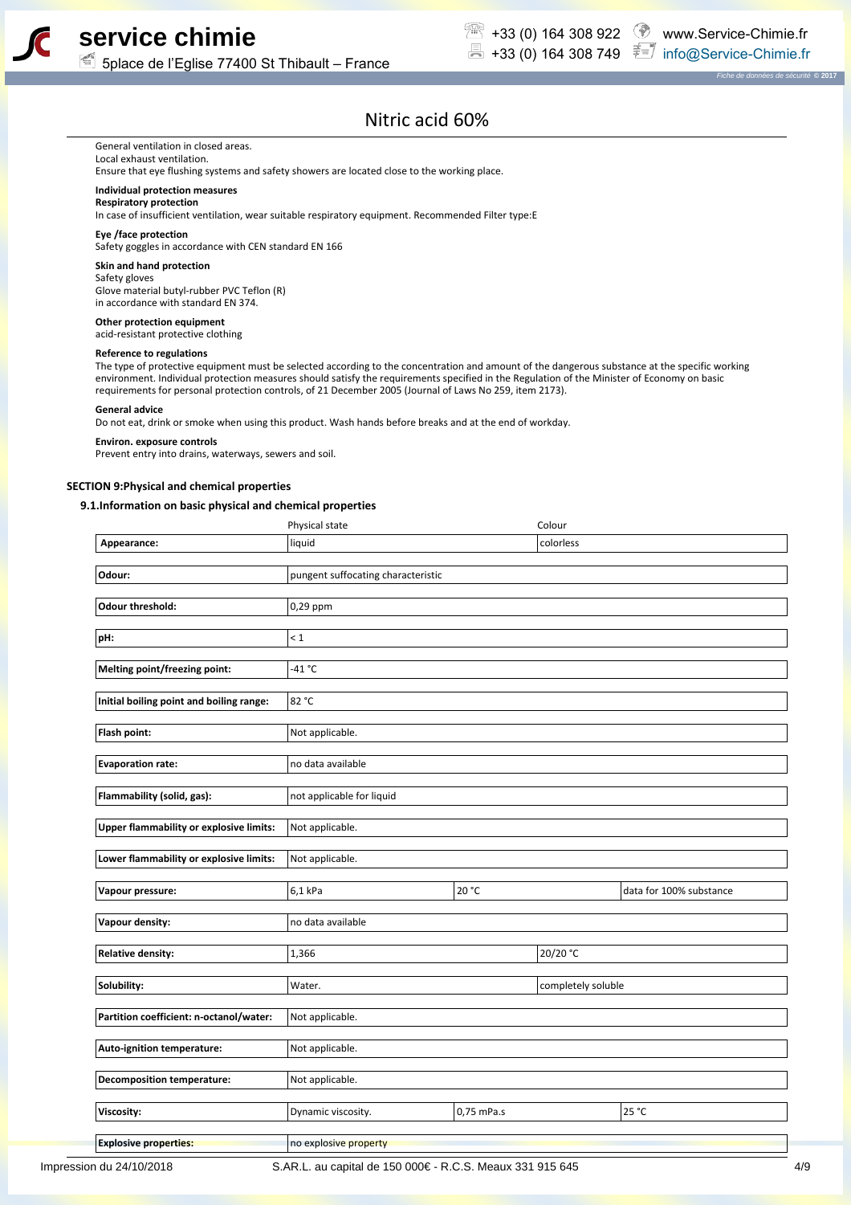

5place de l'Eglise 77400 St Thibault – France



 $\overline{4}$  +33 (0) 164 308 749  $\overline{\overline{z}}$  info@Service-Chimie.fr

*Fiche de données de sécurité* **© 2017**

## Nitric acid 60%

General ventilation in closed areas. Local exhaust ventilation.

Ensure that eye flushing systems and safety showers are located close to the working place.

## **Individual protection measures**

**Respiratory protection** In case of insufficient ventilation, wear suitable respiratory equipment. Recommended Filter type:E

#### **Eye /face protection**

Safety goggles in accordance with CEN standard EN 166

## **Skin and hand protection**

Safety gloves Glove material butyl-rubber PVC Teflon (R) in accordance with standard EN 374.

## **Other protection equipment**

acid-resistant protective clothing

## **Reference to regulations**

The type of protective equipment must be selected according to the concentration and amount of the dangerous substance at the specific working environment. Individual protection measures should satisfy the requirements specified in the Regulation of the Minister of Economy on basic requirements for personal protection controls, of 21 December 2005 (Journal of Laws No 259, item 2173).

#### **General advice**

Do not eat, drink or smoke when using this product. Wash hands before breaks and at the end of workday.

#### **Environ. exposure controls**

Prevent entry into drains, waterways, sewers and soil.

## **SECTION 9:Physical and chemical properties**

## **9.1.Information on basic physical and chemical properties**

|                                                | Physical state                     |            | Colour             |                         |
|------------------------------------------------|------------------------------------|------------|--------------------|-------------------------|
| Appearance:                                    | liquid                             |            | colorless          |                         |
|                                                |                                    |            |                    |                         |
| Odour:                                         | pungent suffocating characteristic |            |                    |                         |
|                                                |                                    |            |                    |                         |
| <b>Odour threshold:</b>                        | 0,29 ppm                           |            |                    |                         |
|                                                |                                    |            |                    |                         |
| pH:                                            | $\leq 1$                           |            |                    |                         |
|                                                |                                    |            |                    |                         |
| Melting point/freezing point:                  | -41 °C                             |            |                    |                         |
|                                                |                                    |            |                    |                         |
| Initial boiling point and boiling range:       | 82 °C                              |            |                    |                         |
|                                                |                                    |            |                    |                         |
| Flash point:                                   | Not applicable.                    |            |                    |                         |
|                                                |                                    |            |                    |                         |
| <b>Evaporation rate:</b>                       | no data available                  |            |                    |                         |
|                                                |                                    |            |                    |                         |
| Flammability (solid, gas):                     | not applicable for liquid          |            |                    |                         |
|                                                |                                    |            |                    |                         |
| <b>Upper flammability or explosive limits:</b> | Not applicable.                    |            |                    |                         |
|                                                |                                    |            |                    |                         |
| Lower flammability or explosive limits:        | Not applicable.                    |            |                    |                         |
|                                                |                                    |            |                    |                         |
| Vapour pressure:                               | $6,1$ kPa                          | 20 °C      |                    | data for 100% substance |
|                                                |                                    |            |                    |                         |
| Vapour density:                                | no data available                  |            |                    |                         |
|                                                |                                    |            |                    |                         |
| <b>Relative density:</b>                       | 1,366                              |            | 20/20 °C           |                         |
|                                                |                                    |            |                    |                         |
| Solubility:                                    | Water.                             |            | completely soluble |                         |
|                                                |                                    |            |                    |                         |
| Partition coefficient: n-octanol/water:        | Not applicable.                    |            |                    |                         |
|                                                |                                    |            |                    |                         |
| Auto-ignition temperature:                     | Not applicable.                    |            |                    |                         |
|                                                |                                    |            |                    |                         |
| <b>Decomposition temperature:</b>              | Not applicable.                    |            |                    |                         |
|                                                |                                    |            |                    |                         |
| Viscosity:                                     | Dynamic viscosity.                 | 0,75 mPa.s |                    | 25 °C                   |
|                                                |                                    |            |                    |                         |
| <b>Explosive properties:</b>                   | no explosive property              |            |                    |                         |
|                                                |                                    |            |                    |                         |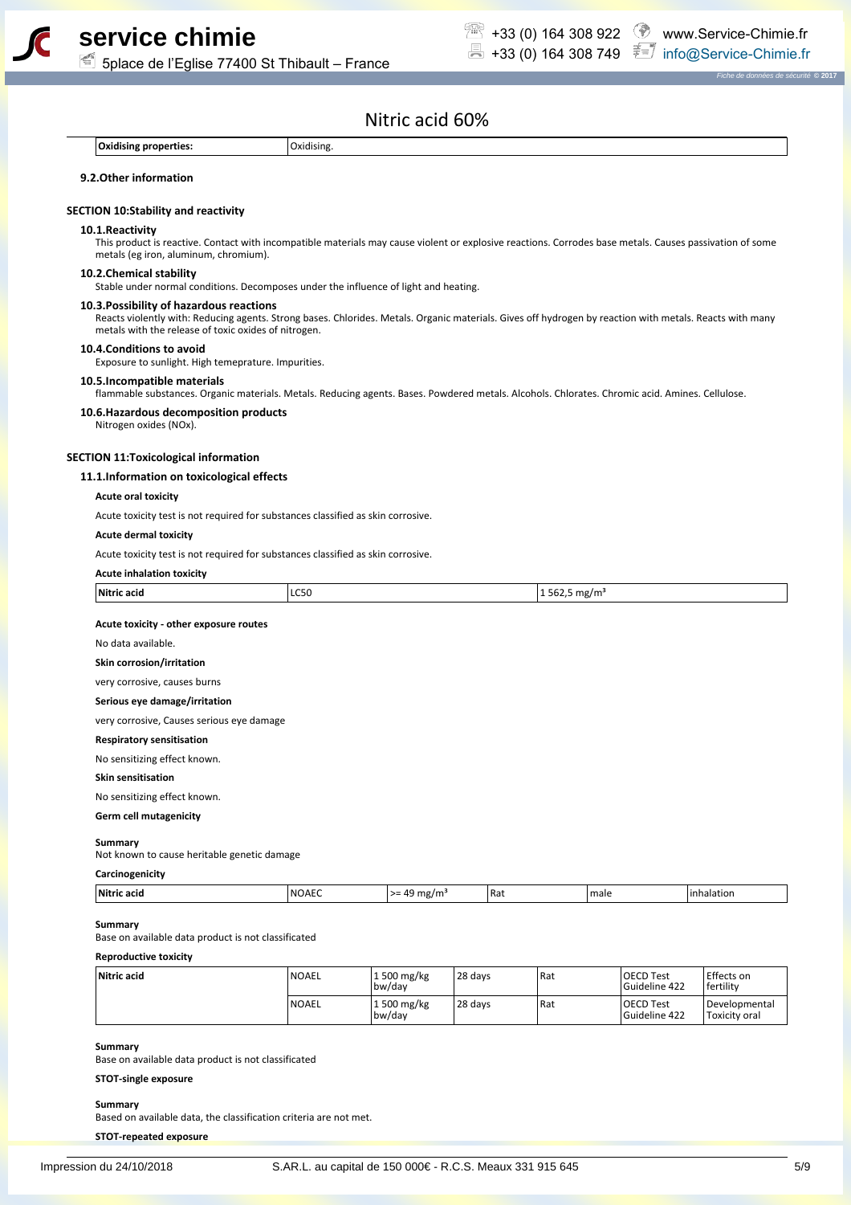

5place de l'Eglise 77400 St Thibault – France



 $\overline{=}$  +33 (0) 164 308 749  $\overline{z}$  info@Service-Chimie.fr

*Fiche de données de sécurité* **© 2017**

## Nitric acid 60%

**Oxidising properties:**  $\begin{array}{c} \hline \text{Oxidising} \end{array}$ 

## **9.2.Other information**

## **SECTION 10:Stability and reactivity**

## **10.1.Reactivity**

This product is reactive. Contact with incompatible materials may cause violent or explosive reactions. Corrodes base metals. Causes passivation of some metals (eg iron, aluminum, chromium).

#### **10.2.Chemical stability**

Stable under normal conditions. Decomposes under the influence of light and heating.

#### **10.3.Possibility of hazardous reactions**

Reacts violently with: Reducing agents. Strong bases. Chlorides. Metals. Organic materials. Gives off hydrogen by reaction with metals. Reacts with many metals with the release of toxic oxides of nitrogen.

### **10.4.Conditions to avoid**

Exposure to sunlight. High temeprature. Impurities.

#### **10.5.Incompatible materials**

flammable substances. Organic materials. Metals. Reducing agents. Bases. Powdered metals. Alcohols. Chlorates. Chromic acid. Amines. Cellulose.

## **10.6.Hazardous decomposition products**

Nitrogen oxides (NOx).

## **SECTION 11:Toxicological information**

## **11.1.Information on toxicological effects**

## **Acute oral toxicity**

Acute toxicity test is not required for substances classified as skin corrosive.

#### **Acute dermal toxicity**

Acute toxicity test is not required for substances classified as skin corrosive.

| <b>Acute inhalation toxicity</b>       |             |                           |  |  |  |
|----------------------------------------|-------------|---------------------------|--|--|--|
| Nitric acid                            | <b>LC50</b> | 1 562,5 mg/m <sup>3</sup> |  |  |  |
| Acute toxicity - other exposure routes |             |                           |  |  |  |
| No data available.                     |             |                           |  |  |  |

## **Skin corrosion/irritation**

very corrosive, causes burns

### **Serious eye damage/irritation**

very corrosive, Causes serious eye damage

## **Respiratory sensitisation**

No sensitizing effect known.

## **Skin sensitisation**

No sensitizing effect known.

## **Germ cell mutagenicity**

#### **Summary**

Not known to cause heritable genetic damage

## **Carcinogenicity**

| Nitric<br>acıd<br>. | I NOAF<br>_______ | /m<br>÷. | ' Rat<br>__ | male<br>___ | alatior<br>. |
|---------------------|-------------------|----------|-------------|-------------|--------------|
|                     |                   |          |             |             |              |

#### **Summary**

Base on available data product is not classificated

#### **Reproductive toxicity**

| Nitric acid | 'NOAEL | 1500 mg/kg<br>bw/dav | 28 days | ' Rat | l OECD Test<br>l Guideline 422 | Effects on<br>fertility          |
|-------------|--------|----------------------|---------|-------|--------------------------------|----------------------------------|
|             | 'NOAEL | 1500 mg/kg<br>bw/dav | 28 days | Rat   | l OECD Test<br>l Guideline 422 | l Developmental<br>Toxicity oral |

## **Summary**

Base on available data product is not classificated

### **STOT-single exposure**

**Summary**

Based on available data, the classification criteria are not met. **STOT-repeated exposure**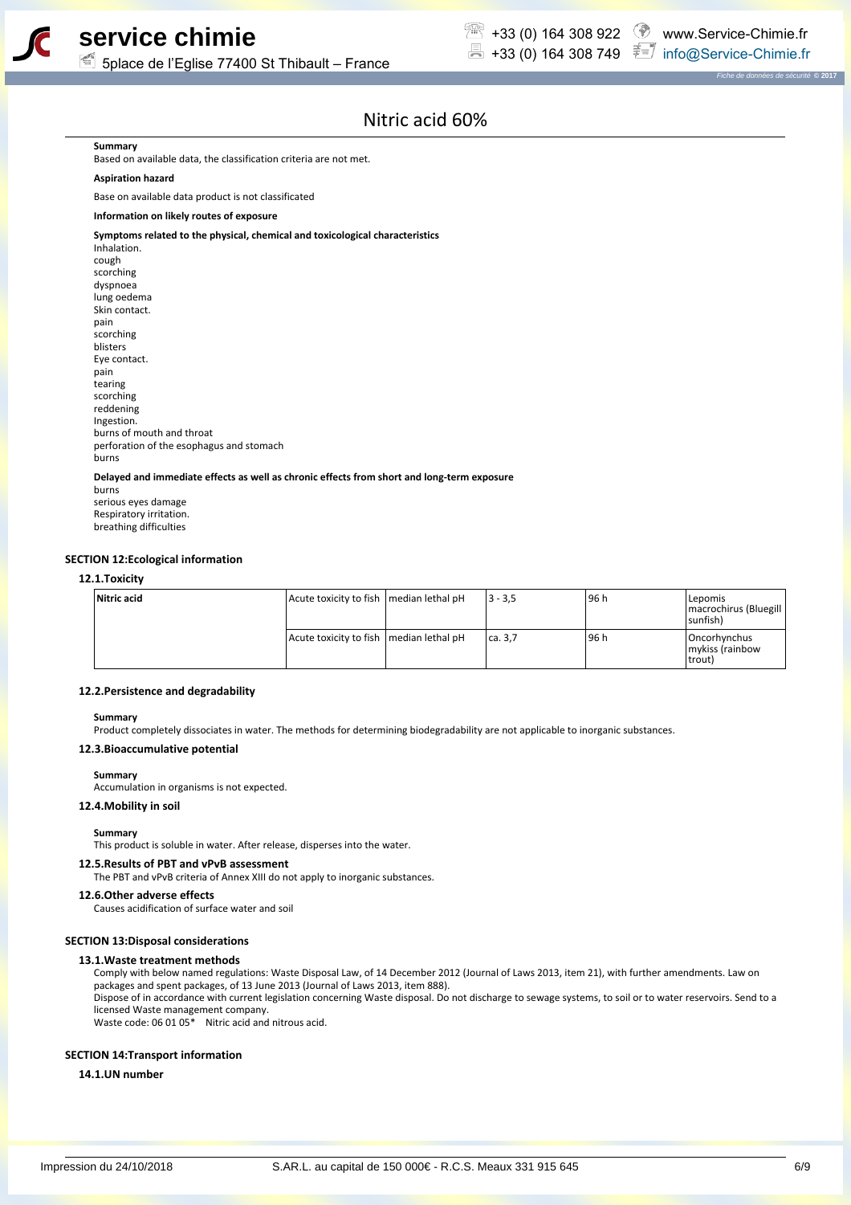

# **service chimie**

5place de l'Eglise 77400 St Thibault – France



 $\overline{=}$  +33 (0) 164 308 749  $\overline{z}$  info@Service-Chimie.fr

*Fiche de données de sécurité* **© 2017**

## Nitric acid 60%

**Summary** Based on available data, the classification criteria are not met.

#### **Aspiration hazard**

Base on available data product is not classificated

## **Information on likely routes of exposure**

#### **Symptoms related to the physical, chemical and toxicological characteristics**

Inhalation. cough scorching dyspnoea lung oedema Skin contact. pain scorching blisters Eye contact. pain tearing scorching reddening Ingestion. burns of mouth and throat perforation of the esophagus and stomach burns

## **Delayed and immediate effects as well as chronic effects from short and long-term exposure**

burns serious eyes damage Respiratory irritation. breathing difficulties

## **SECTION 12:Ecological information**

## **12.1.Toxicity**

| Nitric acid | Acute toxicity to fish   median lethal pH | $3 - 3.5$ | 96 h | Lepomis<br>macrochirus (Bluegill<br>l sunfish) |
|-------------|-------------------------------------------|-----------|------|------------------------------------------------|
|             | Acute toxicity to fish   median lethal pH | ca. 3.7   | 96 h | Oncorhynchus<br>mykiss (rainbow<br>l trout)    |

#### **12.2.Persistence and degradability**

**Summary**

Product completely dissociates in water. The methods for determining biodegradability are not applicable to inorganic substances.

#### **12.3.Bioaccumulative potential**

### **Summary**

Accumulation in organisms is not expected.

## **12.4.Mobility in soil**

#### **Summary**

This product is soluble in water. After release, disperses into the water.

## **12.5.Results of PBT and vPvB assessment**

The PBT and vPvB criteria of Annex XIII do not apply to inorganic substances.

## **12.6.Other adverse effects**

Causes acidification of surface water and soil

## **SECTION 13:Disposal considerations**

## **13.1.Waste treatment methods**

Comply with below named regulations: Waste Disposal Law, of 14 December 2012 (Journal of Laws 2013, item 21), with further amendments. Law on packages and spent packages, of 13 June 2013 (Journal of Laws 2013, item 888).

Dispose of in accordance with current legislation concerning Waste disposal. Do not discharge to sewage systems, to soil or to water reservoirs. Send to a licensed Waste management company.

Waste code: 06 01 05<sup>\*</sup> Nitric acid and nitrous acid.

#### **SECTION 14:Transport information**

### **14.1.UN number**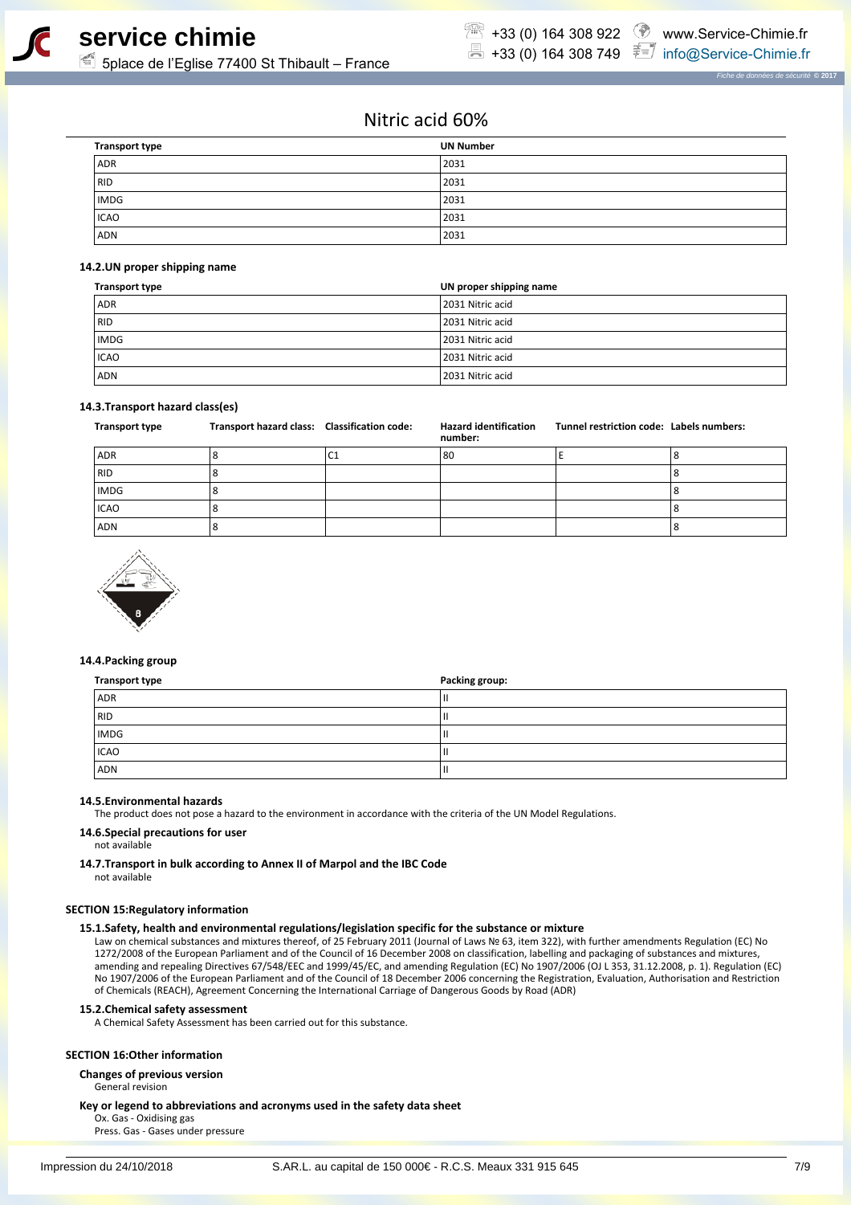

 $\overline{=}$  +33 (0) 164 308 749  $\overline{z}$  info@Service-Chimie.fr

*Fiche de données de sécurité* **© 2017**

5place de l'Eglise 77400 St Thibault – France

## Nitric acid 60%

| <b>Transport type</b> | <b>UN Number</b> |
|-----------------------|------------------|
| ADR                   | 2031             |
| <b>RID</b>            | 2031             |
| <b>IMDG</b>           | 2031             |
| <b>ICAO</b>           | 2031             |
| <b>ADN</b>            | 2031             |

## **14.2.UN proper shipping name**

| <b>Transport type</b> | UN proper shipping name |
|-----------------------|-------------------------|
| <b>ADR</b>            | 2031 Nitric acid        |
| <b>RID</b>            | 2031 Nitric acid        |
| <b>IMDG</b>           | 2031 Nitric acid        |
| <b>ICAO</b>           | 2031 Nitric acid        |
| <b>ADN</b>            | 2031 Nitric acid        |

## **14.3.Transport hazard class(es)**

| <b>Transport type</b> | Transport hazard class: Classification code: |   | <b>Hazard identification</b><br>number: | Tunnel restriction code: Labels numbers: |  |
|-----------------------|----------------------------------------------|---|-----------------------------------------|------------------------------------------|--|
| <b>ADR</b>            |                                              | U | 80                                      |                                          |  |
| <b>RID</b>            |                                              |   |                                         |                                          |  |
| <b>IMDG</b>           |                                              |   |                                         |                                          |  |
| <b>ICAO</b>           |                                              |   |                                         |                                          |  |
| <b>ADN</b>            |                                              |   |                                         |                                          |  |



## **14.4.Packing group**

| <b>Transport type</b> | <b>Packing group:</b> |
|-----------------------|-----------------------|
| ADR                   | ш                     |
| RID                   | ш                     |
| <b>IMDG</b>           | ш                     |
| <b>ICAO</b>           | Ш                     |
| ADN                   | ш                     |

## **14.5.Environmental hazards**

The product does not pose a hazard to the environment in accordance with the criteria of the UN Model Regulations.

## **14.6.Special precautions for user**

not available

## **14.7.Transport in bulk according to Annex II of Marpol and the IBC Code**

not available

## **SECTION 15:Regulatory information**

## **15.1.Safety, health and environmental regulations/legislation specific for the substance or mixture**

Law on chemical substances and mixtures thereof, of 25 February 2011 (Journal of Laws № 63, item 322), with further amendments Regulation (EC) No 1272/2008 of the European Parliament and of the Council of 16 December 2008 on classification, labelling and packaging of substances and mixtures, amending and repealing Directives 67/548/EEC and 1999/45/EC, and amending Regulation (EC) No 1907/2006 (OJ L 353, 31.12.2008, p. 1). Regulation (EC) No 1907/2006 of the European Parliament and of the Council of 18 December 2006 concerning the Registration, Evaluation, Authorisation and Restriction of Chemicals (REACH), Agreement Concerning the International Carriage of Dangerous Goods by Road (ADR)

## **15.2.Chemical safety assessment**

A Chemical Safety Assessment has been carried out for this substance.

## **SECTION 16:Other information**

**Changes of previous version** General revision

## **Key or legend to abbreviations and acronyms used in the safety data sheet**

Ox. Gas - Oxidising gas

Press. Gas - Gases under pressure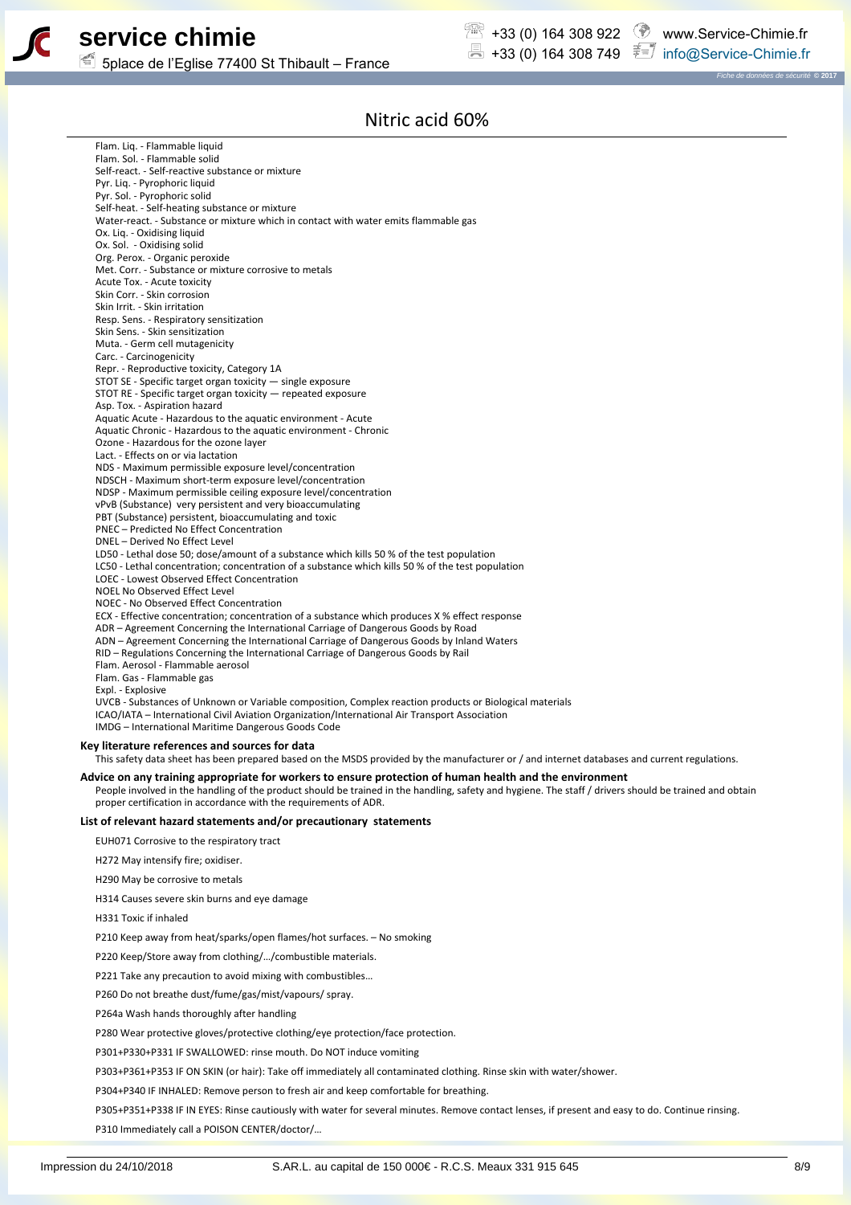

+33 (0) 164 308 922 www.Service-Chimie.fr +33 (0) 164 308 749 info@Service-Chimie.fr

*Fiche de données de sécurité* **© 2017**

Nitric acid 60%

| Flam. Lig. - Flammable liquid<br>Flam. Sol. - Flammable solid                                                                                                                                  |
|------------------------------------------------------------------------------------------------------------------------------------------------------------------------------------------------|
| Self-react. - Self-reactive substance or mixture                                                                                                                                               |
| Pyr. Lig. - Pyrophoric liquid<br>Pyr. Sol. - Pyrophoric solid                                                                                                                                  |
| Self-heat. - Self-heating substance or mixture                                                                                                                                                 |
| Water-react. - Substance or mixture which in contact with water emits flammable gas                                                                                                            |
| Ox. Lig. - Oxidising liquid<br>Ox. Sol. - Oxidising solid                                                                                                                                      |
| Org. Perox. - Organic peroxide                                                                                                                                                                 |
| Met. Corr. - Substance or mixture corrosive to metals<br>Acute Tox. - Acute toxicity                                                                                                           |
| Skin Corr. - Skin corrosion                                                                                                                                                                    |
| Skin Irrit. - Skin irritation                                                                                                                                                                  |
| Resp. Sens. - Respiratory sensitization<br>Skin Sens. - Skin sensitization                                                                                                                     |
| Muta. - Germ cell mutagenicity                                                                                                                                                                 |
| Carc. - Carcinogenicity<br>Repr. - Reproductive toxicity, Category 1A                                                                                                                          |
| STOT SE - Specific target organ toxicity - single exposure                                                                                                                                     |
| STOT RE - Specific target organ toxicity $-$ repeated exposure<br>Asp. Tox. - Aspiration hazard                                                                                                |
| Aquatic Acute - Hazardous to the aquatic environment - Acute                                                                                                                                   |
| Aquatic Chronic - Hazardous to the aquatic environment - Chronic                                                                                                                               |
| Ozone - Hazardous for the ozone layer<br>Lact. - Effects on or via lactation                                                                                                                   |
| NDS - Maximum permissible exposure level/concentration                                                                                                                                         |
| NDSCH - Maximum short-term exposure level/concentration<br>NDSP - Maximum permissible ceiling exposure level/concentration                                                                     |
| vPvB (Substance) very persistent and very bioaccumulating                                                                                                                                      |
| PBT (Substance) persistent, bioaccumulating and toxic<br>PNEC - Predicted No Effect Concentration                                                                                              |
| DNEL - Derived No Effect Level                                                                                                                                                                 |
| LD50 - Lethal dose 50; dose/amount of a substance which kills 50 % of the test population                                                                                                      |
| LC50 - Lethal concentration; concentration of a substance which kills 50 % of the test population<br>LOEC - Lowest Observed Effect Concentration                                               |
| <b>NOEL No Observed Effect Level</b>                                                                                                                                                           |
| NOEC - No Observed Effect Concentration<br>ECX - Effective concentration; concentration of a substance which produces X % effect response                                                      |
| ADR - Agreement Concerning the International Carriage of Dangerous Goods by Road                                                                                                               |
| ADN - Agreement Concerning the International Carriage of Dangerous Goods by Inland Waters<br>RID – Regulations Concerning the International Carriage of Dangerous Goods by Rail                |
| Flam. Aerosol - Flammable aerosol                                                                                                                                                              |
| Flam. Gas - Flammable gas<br>Expl. - Explosive                                                                                                                                                 |
| UVCB - Substances of Unknown or Variable composition, Complex reaction products or Biological materials                                                                                        |
| ICAO/IATA - International Civil Aviation Organization/International Air Transport Association<br>IMDG - International Maritime Dangerous Goods Code                                            |
|                                                                                                                                                                                                |
| Key literature references and sources for data<br>This safety data sheet has been prepared based on the MSDS provided by the manufacturer or / and internet databases and current regulations. |
| Advice on any training appropriate for workers to ensure protection of human health and the environment                                                                                        |
| People involved in the handling of the product should be trained in the handling, safety and hygiene. The staff / drivers should be trained and obtain                                         |
| proper certification in accordance with the requirements of ADR.                                                                                                                               |
| List of relevant hazard statements and/or precautionary statements                                                                                                                             |
| EUH071 Corrosive to the respiratory tract                                                                                                                                                      |
| H272 May intensify fire; oxidiser.                                                                                                                                                             |
| H290 May be corrosive to metals                                                                                                                                                                |
| H314 Causes severe skin burns and eye damage                                                                                                                                                   |
| H331 Toxic if inhaled                                                                                                                                                                          |
| P210 Keep away from heat/sparks/open flames/hot surfaces. - No smoking                                                                                                                         |
| P220 Keep/Store away from clothing//combustible materials.                                                                                                                                     |
| P221 Take any precaution to avoid mixing with combustibles                                                                                                                                     |
| P260 Do not breathe dust/fume/gas/mist/vapours/ spray.                                                                                                                                         |
| P264a Wash hands thoroughly after handling                                                                                                                                                     |
| P280 Wear protective gloves/protective clothing/eye protection/face protection.                                                                                                                |
| P301+P330+P331 IF SWALLOWED: rinse mouth. Do NOT induce vomiting                                                                                                                               |
| P303+P361+P353 IF ON SKIN (or hair): Take off immediately all contaminated clothing. Rinse skin with water/shower.                                                                             |
|                                                                                                                                                                                                |
| P304+P340 IF INHALED: Remove person to fresh air and keep comfortable for breathing.                                                                                                           |
| P305+P351+P338 IF IN EYES: Rinse cautiously with water for several minutes. Remove contact lenses, if present and easy to do. Continue rinsing.                                                |
| P310 Immediately call a POISON CENTER/doctor/                                                                                                                                                  |